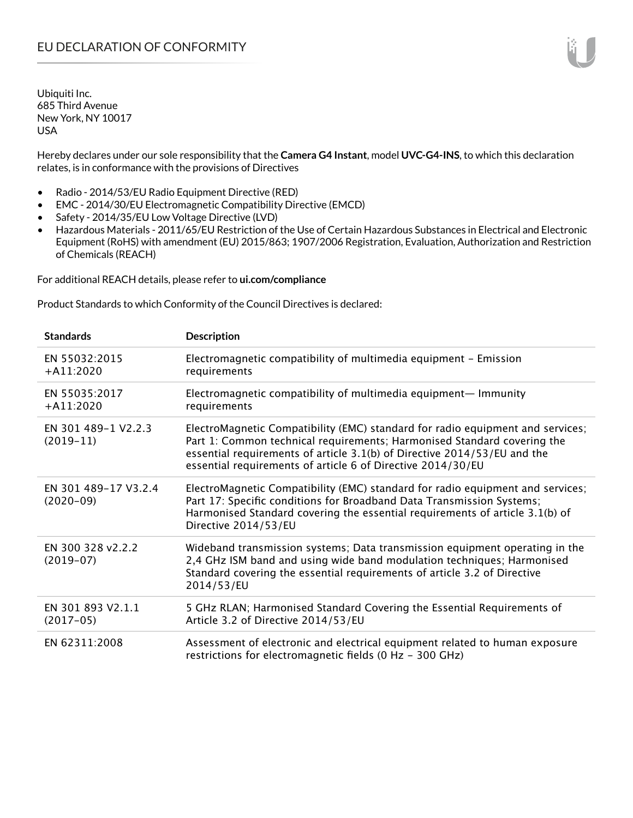Hereby declares under our sole responsibility that the **Camera G4 Instant**, model **UVC-G4-INS**, to which this declaration relates, is in conformance with the provisions of Directives

- Radio 2014/53/EU Radio Equipment Directive (RED)
- EMC 2014/30/EU Electromagnetic Compatibility Directive (EMCD)
- Safety 2014/35/EU Low Voltage Directive (LVD)
- Hazardous Materials 2011/65/EU Restriction of the Use of Certain Hazardous Substances in Electrical and Electronic Equipment (RoHS) with amendment (EU) 2015/863; 1907/2006 Registration, Evaluation, Authorization and Restriction of Chemicals (REACH)

For additional REACH details, please refer to **ui.com/compliance**

Product Standards to which Conformity of the Council Directives is declared:

| <b>Standards</b>                    | <b>Description</b>                                                                                                                                                                                                                                                                                   |
|-------------------------------------|------------------------------------------------------------------------------------------------------------------------------------------------------------------------------------------------------------------------------------------------------------------------------------------------------|
| EN 55032:2015<br>$+$ A11:2020       | Electromagnetic compatibility of multimedia equipment - Emission<br>requirements                                                                                                                                                                                                                     |
| EN 55035:2017<br>$+ A11:2020$       | Electromagnetic compatibility of multimedia equipment- Immunity<br>requirements                                                                                                                                                                                                                      |
| EN 301 489-1 V2.2.3<br>$(2019-11)$  | ElectroMagnetic Compatibility (EMC) standard for radio equipment and services;<br>Part 1: Common technical requirements; Harmonised Standard covering the<br>essential requirements of article 3.1(b) of Directive 2014/53/EU and the<br>essential requirements of article 6 of Directive 2014/30/EU |
| EN 301 489-17 V3.2.4<br>$(2020-09)$ | ElectroMagnetic Compatibility (EMC) standard for radio equipment and services;<br>Part 17: Specific conditions for Broadband Data Transmission Systems;<br>Harmonised Standard covering the essential requirements of article 3.1(b) of<br>Directive 2014/53/EU                                      |
| EN 300 328 v2.2.2<br>$(2019-07)$    | Wideband transmission systems; Data transmission equipment operating in the<br>2,4 GHz ISM band and using wide band modulation techniques; Harmonised<br>Standard covering the essential requirements of article 3.2 of Directive<br>2014/53/EU                                                      |
| EN 301 893 V2.1.1<br>$(2017-05)$    | 5 GHz RLAN; Harmonised Standard Covering the Essential Requirements of<br>Article 3.2 of Directive 2014/53/EU                                                                                                                                                                                        |
| EN 62311:2008                       | Assessment of electronic and electrical equipment related to human exposure<br>restrictions for electromagnetic fields (0 Hz - 300 GHz)                                                                                                                                                              |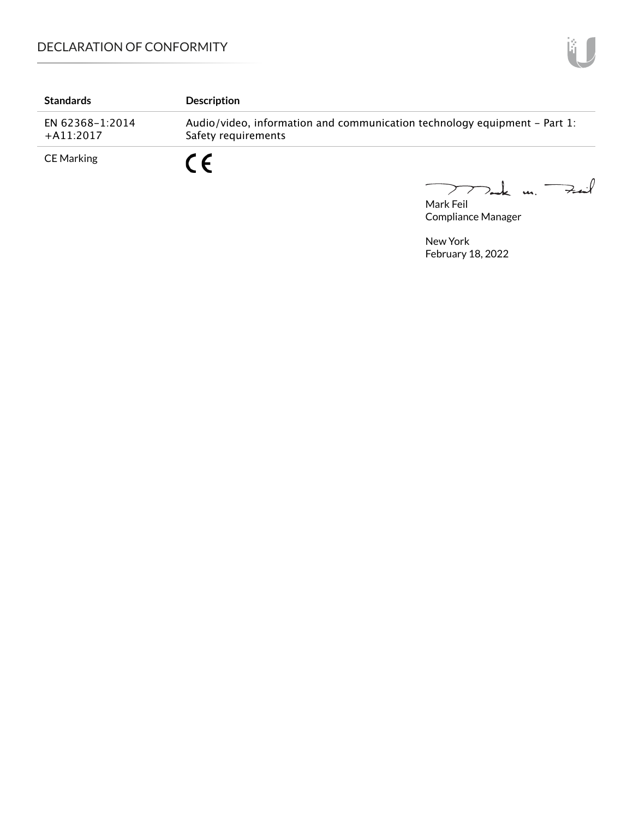| <b>Standards</b>               | <b>Description</b>                                                                               |
|--------------------------------|--------------------------------------------------------------------------------------------------|
| EN 62368-1:2014<br>$+A11:2017$ | Audio/video, information and communication technology equipment – Part 1:<br>Safety requirements |
| <b>CE Marking</b>              | C E                                                                                              |

Mark Feil<br>Mark Feil

Compliance Manager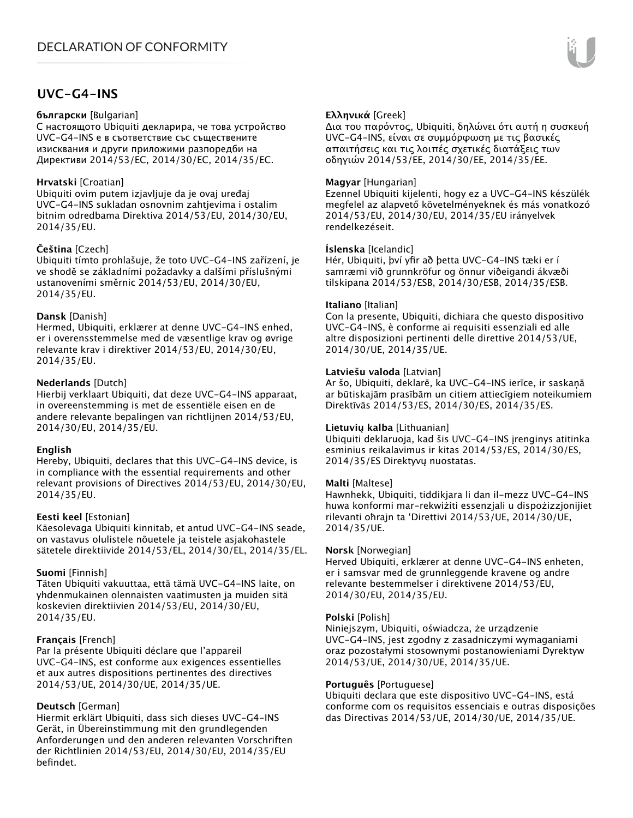# **UVC-G4-INS**

#### **български** [Bulgarian]

С настоящото Ubiquiti декларира, че това устройство UVC-G4-INS е в съответствие със съществените изисквания и други приложими разпоредби на Директиви 2014/53/EC, 2014/30/ЕС, 2014/35/ЕС.

#### **Hrvatski** [Croatian]

Ubiquiti ovim putem izjavljuje da je ovaj uređaj UVC-G4-INS sukladan osnovnim zahtjevima i ostalim bitnim odredbama Direktiva 2014/53/EU, 2014/30/EU, 2014/35/EU.

### **Čeština** [Czech]

Ubiquiti tímto prohlašuje, že toto UVC-G4-INS zařízení, je ve shodě se základními požadavky a dalšími příslušnými ustanoveními směrnic 2014/53/EU, 2014/30/EU, 2014/35/EU.

#### **Dansk** [Danish]

Hermed, Ubiquiti, erklærer at denne UVC-G4-INS enhed, er i overensstemmelse med de væsentlige krav og øvrige relevante krav i direktiver 2014/53/EU, 2014/30/EU, 2014/35/EU.

### **Nederlands** [Dutch]

Hierbij verklaart Ubiquiti, dat deze UVC-G4-INS apparaat, in overeenstemming is met de essentiële eisen en de andere relevante bepalingen van richtlijnen 2014/53/EU, 2014/30/EU, 2014/35/EU.

#### **English**

Hereby, Ubiquiti, declares that this UVC-G4-INS device, is in compliance with the essential requirements and other relevant provisions of Directives 2014/53/EU, 2014/30/EU, 2014/35/EU.

#### **Eesti keel** [Estonian]

Käesolevaga Ubiquiti kinnitab, et antud UVC-G4-INS seade, on vastavus olulistele nõuetele ja teistele asjakohastele sätetele direktiivide 2014/53/EL, 2014/30/EL, 2014/35/EL.

#### **Suomi** [Finnish]

Täten Ubiquiti vakuuttaa, että tämä UVC-G4-INS laite, on yhdenmukainen olennaisten vaatimusten ja muiden sitä koskevien direktiivien 2014/53/EU, 2014/30/EU, 2014/35/EU.

### **Français** [French]

Par la présente Ubiquiti déclare que l'appareil UVC-G4-INS, est conforme aux exigences essentielles et aux autres dispositions pertinentes des directives 2014/53/UE, 2014/30/UE, 2014/35/UE.

### **Deutsch** [German]

Hiermit erklärt Ubiquiti, dass sich dieses UVC-G4-INS Gerät, in Übereinstimmung mit den grundlegenden Anforderungen und den anderen relevanten Vorschriften der Richtlinien 2014/53/EU, 2014/30/EU, 2014/35/EU befindet.

### **Ελληνικά** [Greek]

Δια του παρόντος, Ubiquiti, δηλώνει ότι αυτή η συσκευή UVC-G4-INS, είναι σε συμμόρφωση με τις βασικές απαιτήσεις και τις λοιπές σχετικές διατάξεις των οδηγιών 2014/53/EE, 2014/30/EE, 2014/35/EE.

### **Magyar** [Hungarian]

Ezennel Ubiquiti kijelenti, hogy ez a UVC-G4-INS készülék megfelel az alapvető követelményeknek és más vonatkozó 2014/53/EU, 2014/30/EU, 2014/35/EU irányelvek rendelkezéseit.

### **Íslenska** [Icelandic]

Hér, Ubiquiti, því yfir að þetta UVC-G4-INS tæki er í samræmi við grunnkröfur og önnur viðeigandi ákvæði tilskipana 2014/53/ESB, 2014/30/ESB, 2014/35/ESB.

#### **Italiano** [Italian]

Con la presente, Ubiquiti, dichiara che questo dispositivo UVC-G4-INS, è conforme ai requisiti essenziali ed alle altre disposizioni pertinenti delle direttive 2014/53/UE, 2014/30/UE, 2014/35/UE.

#### **Latviešu valoda** [Latvian]

Ar šo, Ubiquiti, deklarē, ka UVC-G4-INS ierīce, ir saskaņā ar būtiskajām prasībām un citiem attiecīgiem noteikumiem Direktīvās 2014/53/ES, 2014/30/ES, 2014/35/ES.

#### **Lietuvių kalba** [Lithuanian]

Ubiquiti deklaruoja, kad šis UVC-G4-INS įrenginys atitinka esminius reikalavimus ir kitas 2014/53/ES, 2014/30/ES, 2014/35/ES Direktyvų nuostatas.

#### **Malti** [Maltese]

Hawnhekk, Ubiquiti, tiddikjara li dan il-mezz UVC-G4-INS huwa konformi mar-rekwiżiti essenzjali u dispożizzjonijiet rilevanti oħrajn ta 'Direttivi 2014/53/UE, 2014/30/UE, 2014/35/UE.

#### **Norsk** [Norwegian]

Herved Ubiquiti, erklærer at denne UVC-G4-INS enheten, er i samsvar med de grunnleggende kravene og andre relevante bestemmelser i direktivene 2014/53/EU, 2014/30/EU, 2014/35/EU.

#### **Polski** [Polish]

Niniejszym, Ubiquiti, oświadcza, że urządzenie UVC-G4-INS, jest zgodny z zasadniczymi wymaganiami oraz pozostałymi stosownymi postanowieniami Dyrektyw 2014/53/UE, 2014/30/UE, 2014/35/UE.

#### **Português** [Portuguese]

Ubiquiti declara que este dispositivo UVC-G4-INS, está conforme com os requisitos essenciais e outras disposições das Directivas 2014/53/UE, 2014/30/UE, 2014/35/UE.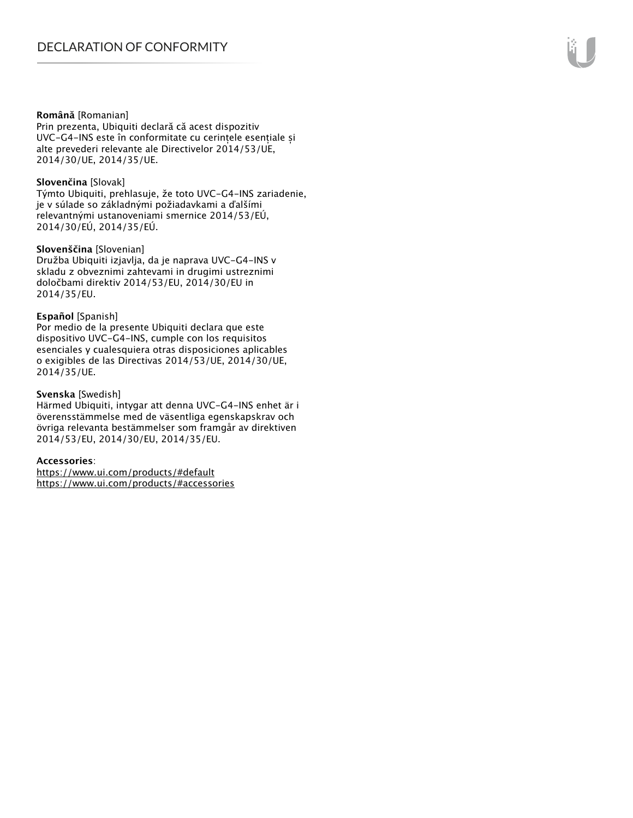#### **Română** [Romanian]

Prin prezenta, Ubiquiti declară că acest dispozitiv UVC-G4-INS este în conformitate cu cerințele esențiale și alte prevederi relevante ale Directivelor 2014/53/UE, 2014/30/UE, 2014/35/UE.

#### **Slovenčina** [Slovak]

Týmto Ubiquiti, prehlasuje, že toto UVC-G4-INS zariadenie, je v súlade so základnými požiadavkami a ďalšími relevantnými ustanoveniami smernice 2014/53/EÚ, 2014/30/EÚ, 2014/35/EÚ.

#### **Slovenščina** [Slovenian]

Družba Ubiquiti izjavlja, da je naprava UVC-G4-INS v skladu z obveznimi zahtevami in drugimi ustreznimi določbami direktiv 2014/53/EU, 2014/30/EU in 2014/35/EU.

#### **Español** [Spanish]

Por medio de la presente Ubiquiti declara que este dispositivo UVC-G4-INS, cumple con los requisitos esenciales y cualesquiera otras disposiciones aplicables o exigibles de las Directivas 2014/53/UE, 2014/30/UE, 2014/35/UE.

#### **Svenska** [Swedish]

Härmed Ubiquiti, intygar att denna UVC-G4-INS enhet är i överensstämmelse med de väsentliga egenskapskrav och övriga relevanta bestämmelser som framgår av direktiven 2014/53/EU, 2014/30/EU, 2014/35/EU.

#### **Accessories**:

https://www.ui.com/products/#default https://www.ui.com/products/#accessories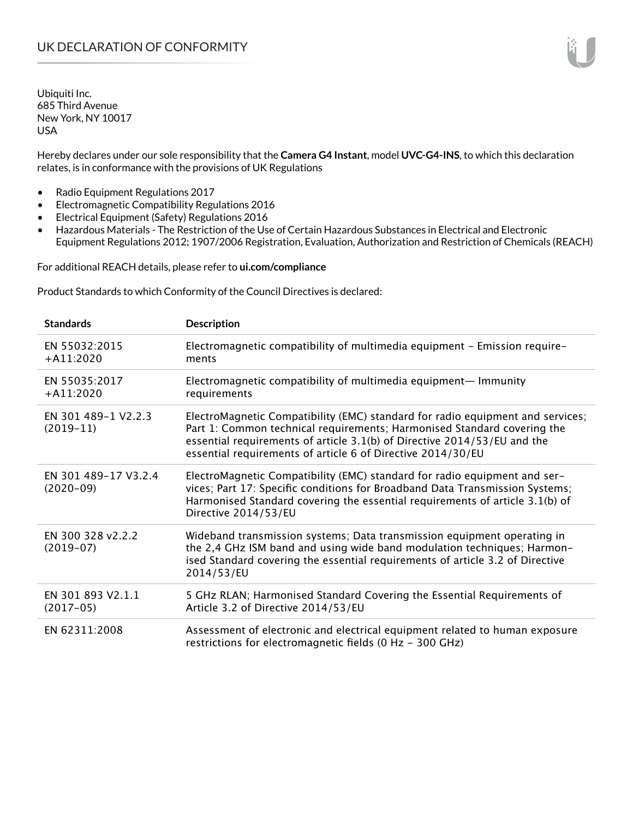Hereby declares under our sole responsibility that the **Camera G4 Instant**, model **UVC-G4-INS**, to which this declaration relates, is in conformance with the provisions of UK Regulations

- Radio Equipment Regulations 2017
- Electromagnetic Compatibility Regulations 2016
- Electrical Equipment (Safety) Regulations 2016
- Hazardous Materials The Restriction of the Use of Certain Hazardous Substances in Electrical and Electronic Equipment Regulations 2012; 1907/2006 Registration, Evaluation, Authorization and Restriction of Chemicals (REACH)

For additional REACH details, please refer to **ui.com/compliance**

Product Standards to which Conformity of the Council Directives is declared:

| <b>Standards</b>                    | <b>Description</b>                                                                                                                                                                                                                                                                                   |
|-------------------------------------|------------------------------------------------------------------------------------------------------------------------------------------------------------------------------------------------------------------------------------------------------------------------------------------------------|
| EN 55032:2015<br>$+$ A11:2020       | Electromagnetic compatibility of multimedia equipment - Emission require-<br>ments                                                                                                                                                                                                                   |
| EN 55035:2017<br>$+A11:2020$        | Electromagnetic compatibility of multimedia equipment— Immunity<br>requirements                                                                                                                                                                                                                      |
| EN 301 489-1 V2.2.3<br>$(2019-11)$  | ElectroMagnetic Compatibility (EMC) standard for radio equipment and services;<br>Part 1: Common technical requirements; Harmonised Standard covering the<br>essential requirements of article 3.1(b) of Directive 2014/53/EU and the<br>essential requirements of article 6 of Directive 2014/30/EU |
| EN 301 489-17 V3.2.4<br>$(2020-09)$ | ElectroMagnetic Compatibility (EMC) standard for radio equipment and ser-<br>vices; Part 17: Specific conditions for Broadband Data Transmission Systems;<br>Harmonised Standard covering the essential requirements of article 3.1(b) of<br>Directive 2014/53/EU                                    |
| EN 300 328 v2.2.2<br>$(2019-07)$    | Wideband transmission systems; Data transmission equipment operating in<br>the 2,4 GHz ISM band and using wide band modulation techniques; Harmon-<br>ised Standard covering the essential requirements of article 3.2 of Directive<br>2014/53/EU                                                    |
| EN 301 893 V2.1.1<br>$(2017-05)$    | 5 GHz RLAN; Harmonised Standard Covering the Essential Requirements of<br>Article 3.2 of Directive 2014/53/EU                                                                                                                                                                                        |
| EN 62311:2008                       | Assessment of electronic and electrical equipment related to human exposure<br>restrictions for electromagnetic fields (0 Hz - 300 GHz)                                                                                                                                                              |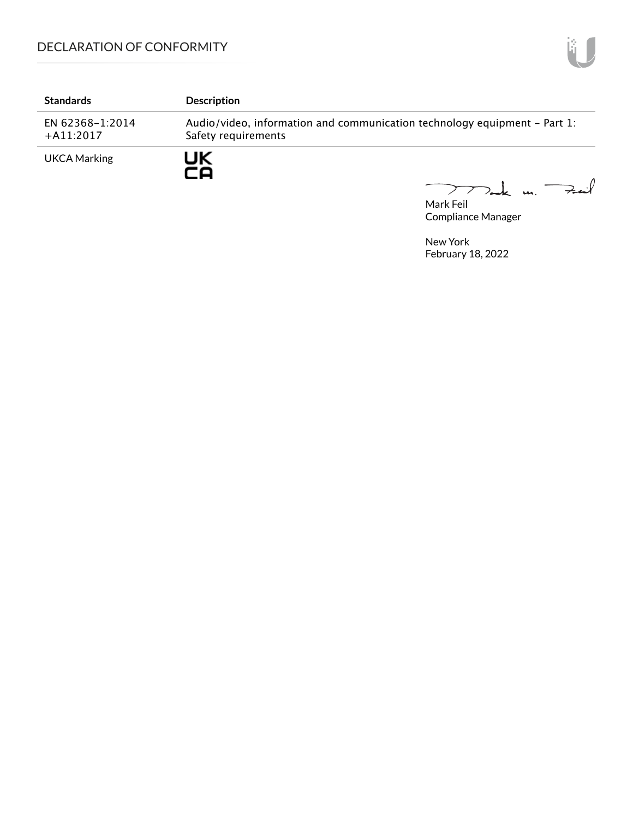| <b>Standards</b>               | <b>Description</b>                                                                               |
|--------------------------------|--------------------------------------------------------------------------------------------------|
| EN 62368-1:2014<br>$+A11:2017$ | Audio/video, information and communication technology equipment - Part 1:<br>Safety requirements |
| <b>UKCA Marking</b>            | JK                                                                                               |

mak m. Fail

Mark Feil Compliance Manager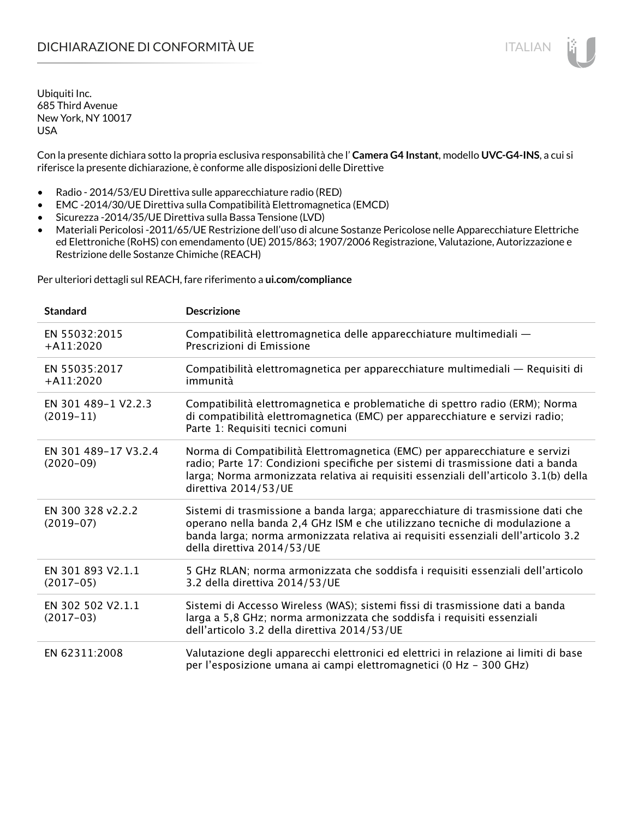Con la presente dichiara sotto la propria esclusiva responsabilità che l' **Camera G4 Instant**, modello **UVC-G4-INS**, a cui si riferisce la presente dichiarazione, è conforme alle disposizioni delle Direttive

- Radio 2014/53/EU Direttiva sulle apparecchiature radio (RED)
- EMC -2014/30/UE Direttiva sulla Compatibilità Elettromagnetica (EMCD)
- Sicurezza -2014/35/UE Direttiva sulla Bassa Tensione (LVD)
- Materiali Pericolosi -2011/65/UE Restrizione dell'uso di alcune Sostanze Pericolose nelle Apparecchiature Elettriche ed Elettroniche (RoHS) con emendamento (UE) 2015/863; 1907/2006 Registrazione, Valutazione, Autorizzazione e Restrizione delle Sostanze Chimiche (REACH)

Per ulteriori dettagli sul REACH, fare riferimento a **ui.com/compliance**

| <b>Standard</b>                     | <b>Descrizione</b>                                                                                                                                                                                                                                                               |
|-------------------------------------|----------------------------------------------------------------------------------------------------------------------------------------------------------------------------------------------------------------------------------------------------------------------------------|
| EN 55032:2015<br>$+A11:2020$        | Compatibilità elettromagnetica delle apparecchiature multimediali —<br>Prescrizioni di Emissione                                                                                                                                                                                 |
| EN 55035:2017<br>$+A11:2020$        | Compatibilità elettromagnetica per apparecchiature multimediali — Requisiti di<br>immunità                                                                                                                                                                                       |
| EN 301 489-1 V2.2.3<br>$(2019-11)$  | Compatibilità elettromagnetica e problematiche di spettro radio (ERM); Norma<br>di compatibilità elettromagnetica (EMC) per apparecchiature e servizi radio;<br>Parte 1: Requisiti tecnici comuni                                                                                |
| EN 301 489-17 V3.2.4<br>$(2020-09)$ | Norma di Compatibilità Elettromagnetica (EMC) per apparecchiature e servizi<br>radio; Parte 17: Condizioni specifiche per sistemi di trasmissione dati a banda<br>larga; Norma armonizzata relativa ai requisiti essenziali dell'articolo 3.1(b) della<br>direttiva 2014/53/UE   |
| EN 300 328 v2.2.2<br>$(2019-07)$    | Sistemi di trasmissione a banda larga; apparecchiature di trasmissione dati che<br>operano nella banda 2,4 GHz ISM e che utilizzano tecniche di modulazione a<br>banda larga; norma armonizzata relativa ai requisiti essenziali dell'articolo 3.2<br>della direttiva 2014/53/UE |
| EN 301 893 V2.1.1<br>$(2017-05)$    | 5 GHz RLAN; norma armonizzata che soddisfa i requisiti essenziali dell'articolo<br>3.2 della direttiva 2014/53/UE                                                                                                                                                                |
| EN 302 502 V2.1.1<br>$(2017-03)$    | Sistemi di Accesso Wireless (WAS); sistemi fissi di trasmissione dati a banda<br>larga a 5,8 GHz; norma armonizzata che soddisfa i requisiti essenziali<br>dell'articolo 3.2 della direttiva 2014/53/UE                                                                          |
| EN 62311:2008                       | Valutazione degli apparecchi elettronici ed elettrici in relazione ai limiti di base<br>per l'esposizione umana ai campi elettromagnetici (0 Hz - 300 GHz)                                                                                                                       |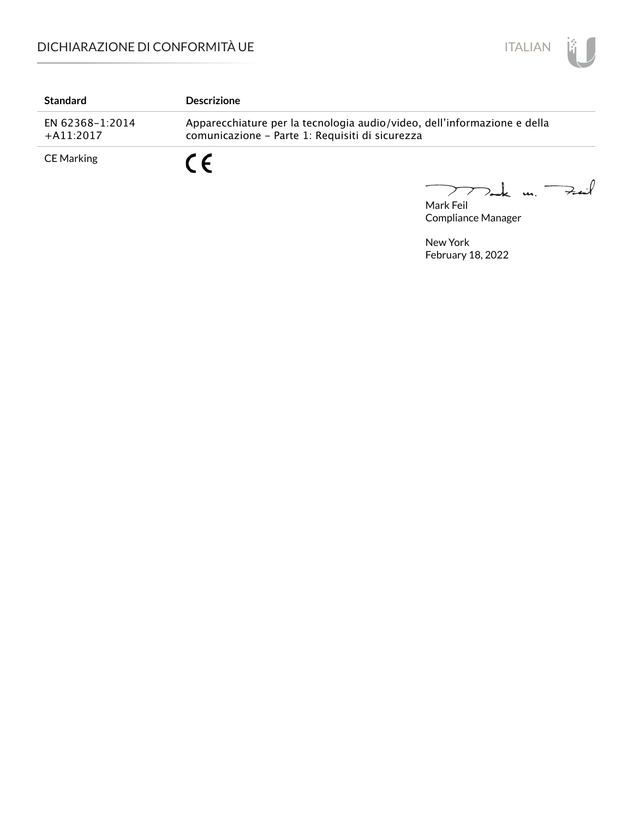

| <b>Standard</b>                 | <b>Descrizione</b>                                                                                                          |
|---------------------------------|-----------------------------------------------------------------------------------------------------------------------------|
| EN 62368-1:2014<br>$+$ A11:2017 | Apparecchiature per la tecnologia audio/video, dell'informazione e della<br>comunicazione - Parte 1: Requisiti di sicurezza |
| <b>CE Marking</b>               |                                                                                                                             |

Mark Feil u. <del>Zuil</del> 

Compliance Manager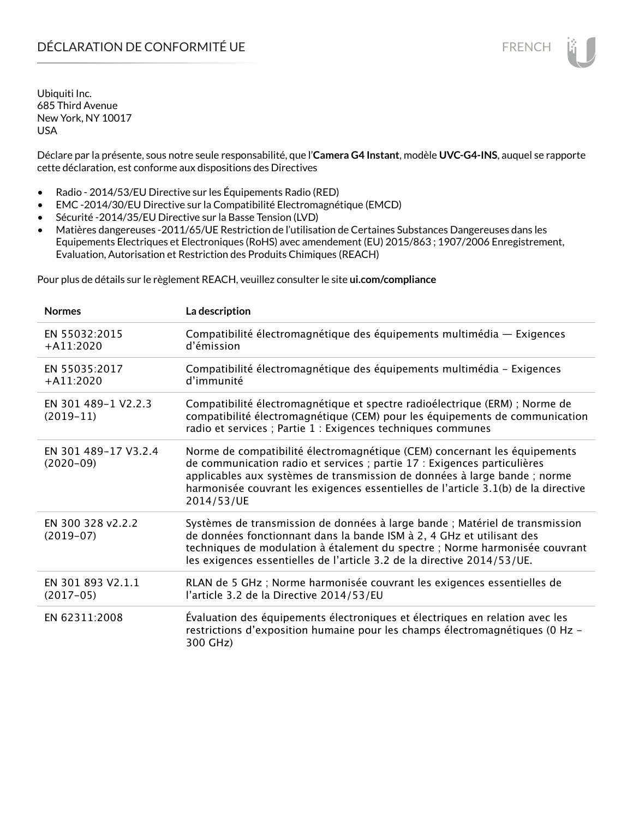# DÉCLARATION DE CONFORMITÉ UE FRENCH

Ubiquiti Inc. 685 Third Avenue New York, NY 10017 USA

Déclare par la présente, sous notre seule responsabilité, que l'**Camera G4 Instant**, modèle **UVC-G4-INS**, auquel se rapporte cette déclaration, est conforme aux dispositions des Directives

- Radio 2014/53/EU Directive sur les Équipements Radio (RED)
- EMC -2014/30/EU Directive sur la Compatibilité Electromagnétique (EMCD)
- Sécurité -2014/35/EU Directive sur la Basse Tension (LVD)
- Matières dangereuses -2011/65/UE Restriction de l'utilisation de Certaines Substances Dangereuses dans les Equipements Electriques et Electroniques (RoHS) avec amendement (EU) 2015/863 ; 1907/2006 Enregistrement, Evaluation, Autorisation et Restriction des Produits Chimiques (REACH)

Pour plus de détails sur le règlement REACH, veuillez consulter le site **ui.com/compliance**

| <b>Normes</b>                       | La description                                                                                                                                                                                                                                                                                                                         |
|-------------------------------------|----------------------------------------------------------------------------------------------------------------------------------------------------------------------------------------------------------------------------------------------------------------------------------------------------------------------------------------|
| EN 55032:2015<br>$+$ A11:2020       | Compatibilité électromagnétique des équipements multimédia — Exigences<br>d'émission                                                                                                                                                                                                                                                   |
| EN 55035:2017<br>$+A11:2020$        | Compatibilité électromagnétique des équipements multimédia - Exigences<br>d'immunité                                                                                                                                                                                                                                                   |
| EN 301 489-1 V2.2.3<br>$(2019-11)$  | Compatibilité électromagnétique et spectre radioélectrique (ERM) ; Norme de<br>compatibilité électromagnétique (CEM) pour les équipements de communication<br>radio et services ; Partie 1 : Exigences techniques communes                                                                                                             |
| EN 301 489-17 V3.2.4<br>$(2020-09)$ | Norme de compatibilité électromagnétique (CEM) concernant les équipements<br>de communication radio et services ; partie 17 : Exigences particulières<br>applicables aux systèmes de transmission de données à large bande ; norme<br>harmonisée couvrant les exigences essentielles de l'article 3.1(b) de la directive<br>2014/53/UE |
| EN 300 328 v2.2.2<br>$(2019-07)$    | Systèmes de transmission de données à large bande ; Matériel de transmission<br>de données fonctionnant dans la bande ISM à 2, 4 GHz et utilisant des<br>techniques de modulation à étalement du spectre ; Norme harmonisée couvrant<br>les exigences essentielles de l'article 3.2 de la directive 2014/53/UE.                        |
| EN 301 893 V2.1.1<br>$(2017-05)$    | RLAN de 5 GHz ; Norme harmonisée couvrant les exigences essentielles de<br>l'article 3.2 de la Directive 2014/53/EU                                                                                                                                                                                                                    |
| EN 62311:2008                       | Évaluation des équipements électroniques et électriques en relation avec les<br>restrictions d'exposition humaine pour les champs électromagnétiques (0 Hz -<br>300 GHz)                                                                                                                                                               |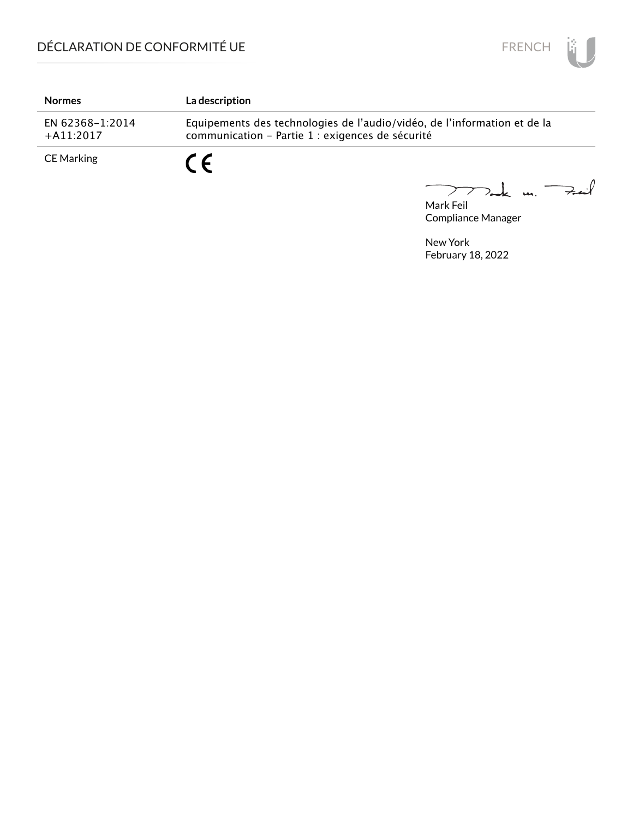

| <b>Normes</b>                   | <b>La description</b>                                                                                                        |
|---------------------------------|------------------------------------------------------------------------------------------------------------------------------|
| EN 62368-1:2014<br>$+$ A11:2017 | Equipements des technologies de l'audio/vidéo, de l'information et de la<br>communication - Partie 1 : exigences de sécurité |
| <b>CE Marking</b>               | $\epsilon$                                                                                                                   |

Mark Feil<br>Mark Feil 

Compliance Manager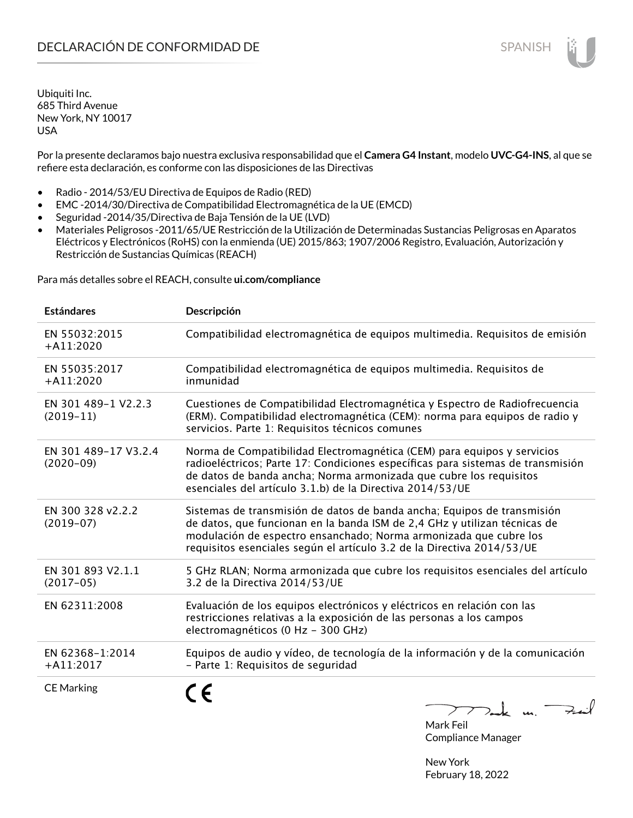Por la presente declaramos bajo nuestra exclusiva responsabilidad que el **Camera G4 Instant**, modelo **UVC-G4-INS**, al que se refiere esta declaración, es conforme con las disposiciones de las Directivas

- Radio 2014/53/EU Directiva de Equipos de Radio (RED)
- EMC -2014/30/Directiva de Compatibilidad Electromagnética de la UE (EMCD)
- Seguridad -2014/35/Directiva de Baja Tensión de la UE (LVD)
- Materiales Peligrosos -2011/65/UE Restricción de la Utilización de Determinadas Sustancias Peligrosas en Aparatos Eléctricos y Electrónicos (RoHS) con la enmienda (UE) 2015/863; 1907/2006 Registro, Evaluación, Autorización y Restricción de Sustancias Químicas (REACH)

Para más detalles sobre el REACH, consulte **ui.com/compliance**

| <b>Estándares</b>                   | Descripción                                                                                                                                                                                                                                                                                         |
|-------------------------------------|-----------------------------------------------------------------------------------------------------------------------------------------------------------------------------------------------------------------------------------------------------------------------------------------------------|
| EN 55032:2015<br>$+A11:2020$        | Compatibilidad electromagnética de equipos multimedia. Requisitos de emisión                                                                                                                                                                                                                        |
| EN 55035:2017<br>$+A11:2020$        | Compatibilidad electromagnética de equipos multimedia. Requisitos de<br>inmunidad                                                                                                                                                                                                                   |
| EN 301 489-1 V2.2.3<br>$(2019-11)$  | Cuestiones de Compatibilidad Electromagnética y Espectro de Radiofrecuencia<br>(ERM). Compatibilidad electromagnética (CEM): norma para equipos de radio y<br>servicios. Parte 1: Requisitos técnicos comunes                                                                                       |
| EN 301 489-17 V3.2.4<br>$(2020-09)$ | Norma de Compatibilidad Electromagnética (CEM) para equipos y servicios<br>radioeléctricos; Parte 17: Condiciones específicas para sistemas de transmisión<br>de datos de banda ancha; Norma armonizada que cubre los requisitos<br>esenciales del artículo 3.1.b) de la Directiva 2014/53/UE       |
| EN 300 328 v2.2.2<br>$(2019-07)$    | Sistemas de transmisión de datos de banda ancha; Equipos de transmisión<br>de datos, que funcionan en la banda ISM de 2,4 GHz y utilizan técnicas de<br>modulación de espectro ensanchado; Norma armonizada que cubre los<br>requisitos esenciales según el artículo 3.2 de la Directiva 2014/53/UE |
| EN 301 893 V2.1.1<br>$(2017-05)$    | 5 GHz RLAN; Norma armonizada que cubre los requisitos esenciales del artículo<br>3.2 de la Directiva 2014/53/UE                                                                                                                                                                                     |
| EN 62311:2008                       | Evaluación de los equipos electrónicos y eléctricos en relación con las<br>restricciones relativas a la exposición de las personas a los campos<br>electromagnéticos (0 Hz - 300 GHz)                                                                                                               |
| EN 62368-1:2014<br>$+A11:2017$      | Equipos de audio y vídeo, de tecnología de la información y de la comunicación<br>- Parte 1: Requisitos de seguridad                                                                                                                                                                                |
| <b>CE Marking</b>                   | $\gamma$ and $\gamma$                                                                                                                                                                                                                                                                               |

Mark Feil Compliance Manager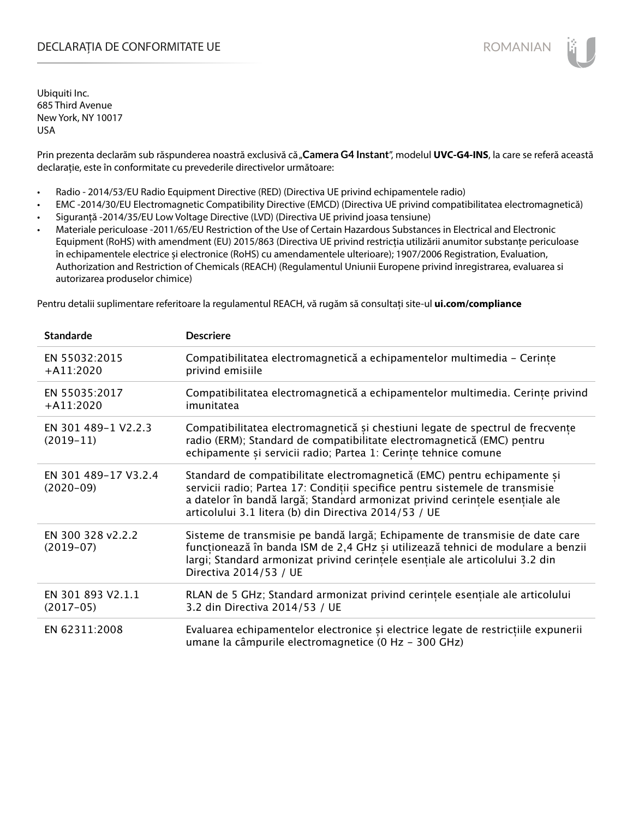## DECLARAȚIA DE CONFORMITATE UE EXECUTE DE ROMANIAN

Ubiquiti Inc. 685 Third Avenue New York, NY 10017 USA

Prin prezenta declarăm sub răspunderea noastră exclusivă că "Camera G4 Instant", modelul UVC-G4-INS, la care se referă această declarație, este în conformitate cu prevederile directivelor următoare:

- Radio 2014/53/EU Radio Equipment Directive (RED) (Directiva UE privind echipamentele radio)
- EMC -2014/30/EU Electromagnetic Compatibility Directive (EMCD) (Directiva UE privind compatibilitatea electromagnetică)
- Siguranță -2014/35/EU Low Voltage Directive (LVD) (Directiva UE privind joasa tensiune)
- Materiale periculoase -2011/65/EU Restriction of the Use of Certain Hazardous Substances in Electrical and Electronic Equipment (RoHS) with amendment (EU) 2015/863 (Directiva UE privind restricția utilizării anumitor substanțe periculoase în echipamentele electrice și electronice (RoHS) cu amendamentele ulterioare); 1907/2006 Registration, Evaluation, Authorization and Restriction of Chemicals (REACH) (Regulamentul Uniunii Europene privind înregistrarea, evaluarea si autorizarea produselor chimice)

Pentru detalii suplimentare referitoare la regulamentul REACH, vă rugăm să consultați site-ul **ui.com/compliance**

| <b>Standarde</b>                    | <b>Descriere</b>                                                                                                                                                                                                                                                                                  |
|-------------------------------------|---------------------------------------------------------------------------------------------------------------------------------------------------------------------------------------------------------------------------------------------------------------------------------------------------|
| EN 55032:2015<br>$+$ A11:2020       | Compatibilitatea electromagnetică a echipamentelor multimedia - Cerințe<br>privind emisiile                                                                                                                                                                                                       |
| EN 55035:2017<br>$+A11:2020$        | Compatibilitatea electromagnetică a echipamentelor multimedia. Cerințe privind<br>imunitatea                                                                                                                                                                                                      |
| EN 301 489-1 V2.2.3<br>$(2019-11)$  | Compatibilitatea electromagnetică și chestiuni legate de spectrul de frecvențe<br>radio (ERM); Standard de compatibilitate electromagnetică (EMC) pentru<br>echipamente și servicii radio; Partea 1: Cerințe tehnice comune                                                                       |
| EN 301 489-17 V3.2.4<br>$(2020-09)$ | Standard de compatibilitate electromagnetică (EMC) pentru echipamente și<br>servicii radio; Partea 17: Condiții specifice pentru sistemele de transmisie<br>a datelor în bandă largă; Standard armonizat privind cerințele esențiale ale<br>articolului 3.1 litera (b) din Directiva 2014/53 / UE |
| EN 300 328 v2.2.2<br>$(2019-07)$    | Sisteme de transmisie pe bandă largă; Echipamente de transmisie de date care<br>funcționează în banda ISM de 2,4 GHz și utilizează tehnici de modulare a benzii<br>largi; Standard armonizat privind cerințele esențiale ale articolului 3.2 din<br>Directiva 2014/53 / UE                        |
| EN 301 893 V2.1.1<br>$(2017-05)$    | RLAN de 5 GHz; Standard armonizat privind cerințele esențiale ale articolului<br>3.2 din Directiva 2014/53 / UE                                                                                                                                                                                   |
| EN 62311:2008                       | Evaluarea echipamentelor electronice și electrice legate de restricțiile expunerii<br>umane la câmpurile electromagnetice (0 Hz - 300 GHz)                                                                                                                                                        |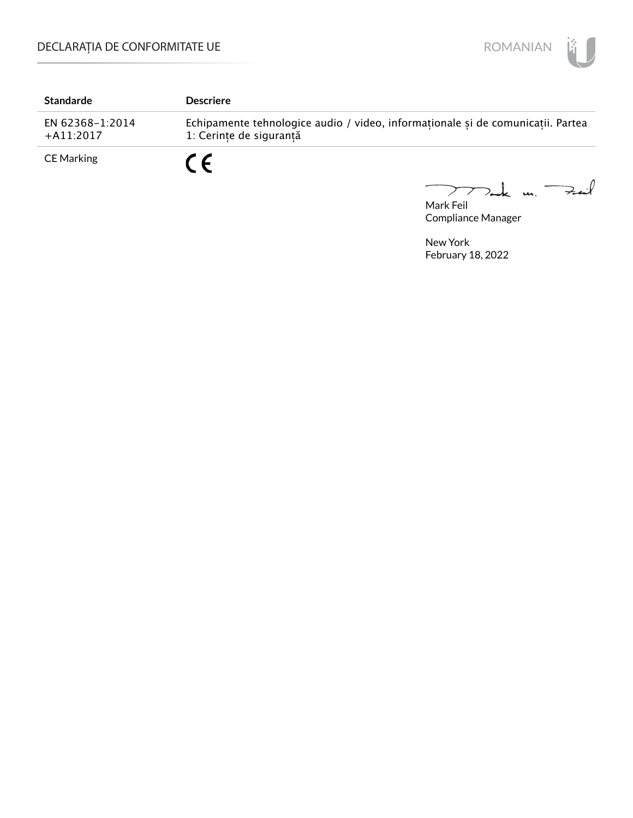

| <b>Standarde</b>               | <b>Descriere</b>                                                                                           |
|--------------------------------|------------------------------------------------------------------------------------------------------------|
| EN 62368-1:2014<br>$+A11:2017$ | Echipamente tehnologice audio / video, informaționale și de comunicații. Partea<br>1: Cerinte de sigurantă |
| <b>CE Marking</b>              | $\epsilon$                                                                                                 |

Mark Feil u. <del>Zuil</del>  $\overline{\phantom{0}}$ 

Compliance Manager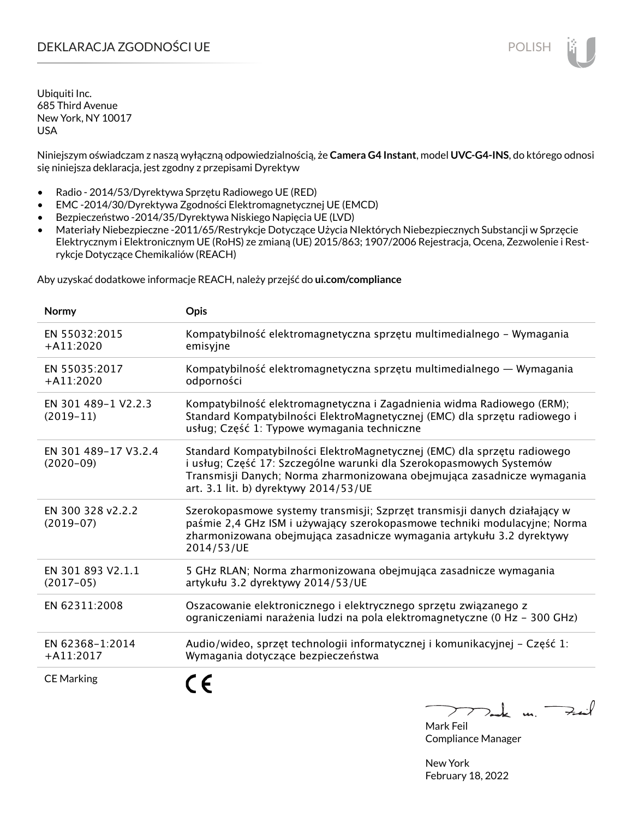# DEKLARACJA ZGODNOŚCI UE POLISH POLISH

Ubiquiti Inc. 685 Third Avenue New York, NY 10017 USA

Niniejszym oświadczam z naszą wyłączną odpowiedzialnością, że **Camera G4 Instant**, model **UVC-G4-INS**, do którego odnosi się niniejsza deklaracja, jest zgodny z przepisami Dyrektyw

- Radio 2014/53/Dyrektywa Sprzętu Radiowego UE (RED)
- EMC -2014/30/Dyrektywa Zgodności Elektromagnetycznej UE (EMCD)
- Bezpieczeństwo -2014/35/Dyrektywa Niskiego Napięcia UE (LVD)
- Materiały Niebezpieczne -2011/65/Restrykcje Dotyczące Użycia NIektórych Niebezpiecznych Substancji w Sprzęcie Elektrycznym i Elektronicznym UE (RoHS) ze zmianą (UE) 2015/863; 1907/2006 Rejestracja, Ocena, Zezwolenie i Restrykcje Dotyczące Chemikaliów (REACH)

Aby uzyskać dodatkowe informacje REACH, należy przejść do **ui.com/compliance**

| Normy                               | <b>Opis</b>                                                                                                                                                                                                                                                         |
|-------------------------------------|---------------------------------------------------------------------------------------------------------------------------------------------------------------------------------------------------------------------------------------------------------------------|
| EN 55032:2015<br>$+A11:2020$        | Kompatybilność elektromagnetyczna sprzętu multimedialnego – Wymagania<br>emisyjne                                                                                                                                                                                   |
| EN 55035:2017<br>$+A11:2020$        | Kompatybilność elektromagnetyczna sprzętu multimedialnego — Wymagania<br>odporności                                                                                                                                                                                 |
| EN 301 489-1 V2.2.3<br>$(2019-11)$  | Kompatybilność elektromagnetyczna i Zagadnienia widma Radiowego (ERM);<br>Standard Kompatybilności ElektroMagnetycznej (EMC) dla sprzętu radiowego i<br>usług; Część 1: Typowe wymagania techniczne                                                                 |
| EN 301 489-17 V3.2.4<br>$(2020-09)$ | Standard Kompatybilności ElektroMagnetycznej (EMC) dla sprzętu radiowego<br>i usług; Część 17: Szczególne warunki dla Szerokopasmowych Systemów<br>Transmisji Danych; Norma zharmonizowana obejmująca zasadnicze wymagania<br>art. 3.1 lit. b) dyrektywy 2014/53/UE |
| EN 300 328 v2.2.2<br>$(2019-07)$    | Szerokopasmowe systemy transmisji; Szprzęt transmisji danych działający w<br>paśmie 2,4 GHz ISM i używający szerokopasmowe techniki modulacyjne; Norma<br>zharmonizowana obejmująca zasadnicze wymagania artykułu 3.2 dyrektywy<br>2014/53/UE                       |
| EN 301 893 V2.1.1<br>$(2017-05)$    | 5 GHz RLAN; Norma zharmonizowana obejmująca zasadnicze wymagania<br>artykułu 3.2 dyrektywy 2014/53/UE                                                                                                                                                               |
| EN 62311:2008                       | Oszacowanie elektronicznego i elektrycznego sprzętu związanego z<br>ograniczeniami narażenia ludzi na pola elektromagnetyczne (0 Hz - 300 GHz)                                                                                                                      |
| EN 62368-1:2014<br>$+A11:2017$      | Audio/wideo, sprzęt technologii informatycznej i komunikacyjnej - Część 1:<br>Wymagania dotyczące bezpieczeństwa                                                                                                                                                    |
| <b>CE Marking</b>                   |                                                                                                                                                                                                                                                                     |

 $k$  un  $\rightarrow$ 

Mark Feil Compliance Manager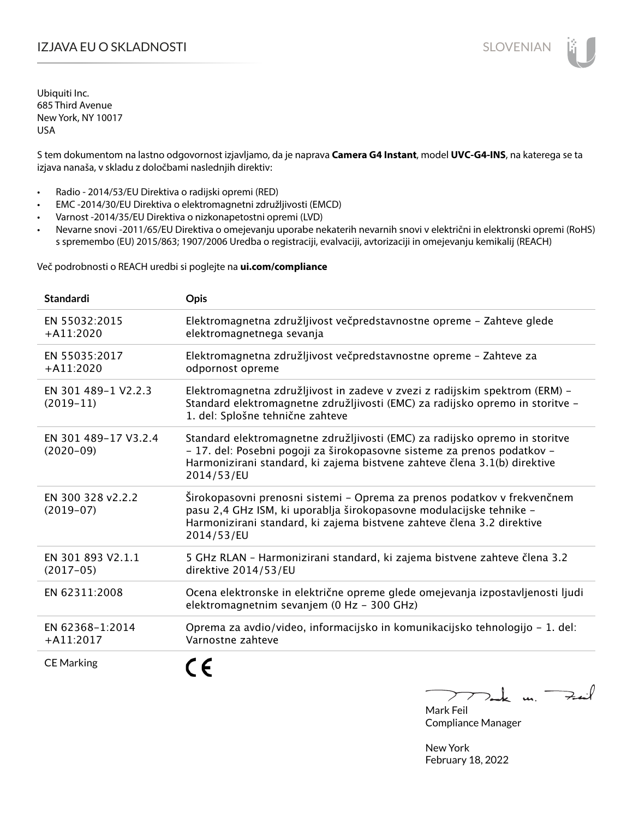# I**ZJAVA EU O SKLADNOSTI** SLOVENIAN

Ubiquiti Inc. 685 Third Avenue New York, NY 10017 USA

S tem dokumentom na lastno odgovornost izjavljamo, da je naprava **Camera G4 Instant**, model **UVC-G4-INS**, na katerega se ta izjava nanaša, v skladu z določbami naslednjih direktiv:

- Radio 2014/53/EU Direktiva o radijski opremi (RED)
- EMC -2014/30/EU Direktiva o elektromagnetni združljivosti (EMCD)
- Varnost -2014/35/EU Direktiva o nizkonapetostni opremi (LVD)
- Nevarne snovi -2011/65/EU Direktiva o omejevanju uporabe nekaterih nevarnih snovi v električni in elektronski opremi (RoHS) s spremembo (EU) 2015/863; 1907/2006 Uredba o registraciji, evalvaciji, avtorizaciji in omejevanju kemikalij (REACH)

Več podrobnosti o REACH uredbi si poglejte na **ui.com/compliance**

| Standardi                           | <b>Opis</b>                                                                                                                                                                                                                                       |
|-------------------------------------|---------------------------------------------------------------------------------------------------------------------------------------------------------------------------------------------------------------------------------------------------|
| EN 55032:2015<br>$+$ A11:2020       | Elektromagnetna združljivost večpredstavnostne opreme - Zahteve glede<br>elektromagnetnega sevanja                                                                                                                                                |
| EN 55035:2017<br>$+A11:2020$        | Elektromagnetna združljivost večpredstavnostne opreme - Zahteve za<br>odpornost opreme                                                                                                                                                            |
| EN 301 489-1 V2.2.3<br>$(2019-11)$  | Elektromagnetna združljivost in zadeve v zvezi z radijskim spektrom (ERM) -<br>Standard elektromagnetne združljivosti (EMC) za radijsko opremo in storitve -<br>1. del: Splošne tehnične zahteve                                                  |
| EN 301 489-17 V3.2.4<br>$(2020-09)$ | Standard elektromagnetne združljivosti (EMC) za radijsko opremo in storitve<br>- 17. del: Posebni pogoji za širokopasovne sisteme za prenos podatkov -<br>Harmonizirani standard, ki zajema bistvene zahteve člena 3.1(b) direktive<br>2014/53/EU |
| EN 300 328 v2.2.2<br>$(2019-07)$    | Širokopasovni prenosni sistemi – Oprema za prenos podatkov v frekvenčnem<br>pasu 2,4 GHz ISM, ki uporablja širokopasovne modulacijske tehnike -<br>Harmonizirani standard, ki zajema bistvene zahteve člena 3.2 direktive<br>2014/53/EU           |
| EN 301 893 V2.1.1<br>$(2017-05)$    | 5 GHz RLAN - Harmonizirani standard, ki zajema bistvene zahteve člena 3.2<br>direktive 2014/53/EU                                                                                                                                                 |
| EN 62311:2008                       | Ocena elektronske in električne opreme glede omejevanja izpostavljenosti ljudi<br>elektromagnetnim sevanjem (0 Hz - 300 GHz)                                                                                                                      |
| EN 62368-1:2014<br>$+$ A11:2017     | Oprema za avdio/video, informacijsko in komunikacijsko tehnologijo - 1. del:<br>Varnostne zahteve                                                                                                                                                 |
| <b>CE Marking</b>                   | €                                                                                                                                                                                                                                                 |

 $-k$  un  $\rightarrow$  $\triangleright$  $\overline{\phantom{a}}$ 

Mark Feil Compliance Manager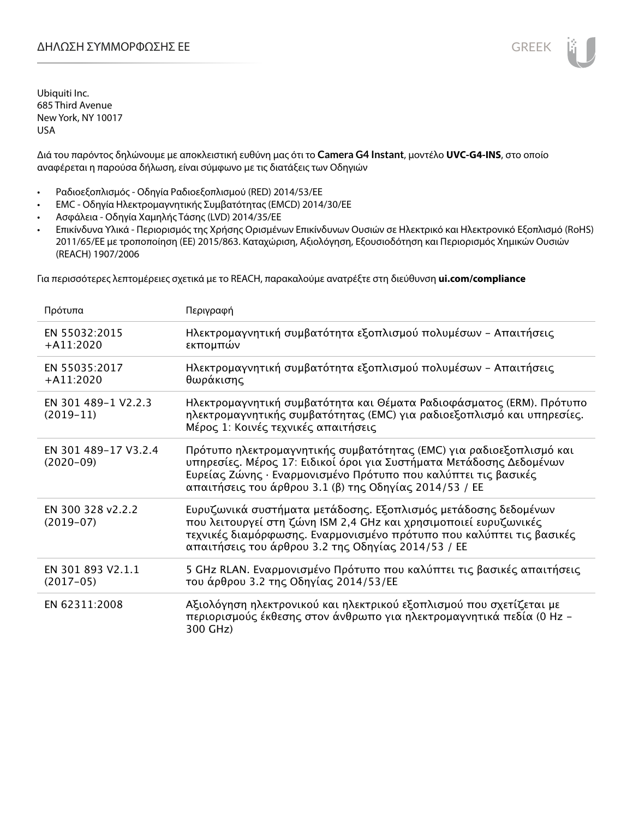Διά του παρόντος δηλώνουμε με αποκλειστική ευθύνη μας ότι το **Camera G4 Instant**, μοντέλο **UVC-G4-INS**, στο οποίο αναφέρεται η παρούσα δήλωση, είναι σύμφωνο με τις διατάξεις των Οδηγιών

- Ραδιοεξοπλισμός Οδηγία Ραδιοεξοπλισμού (RED) 2014/53/ΕΕ
- EMC Οδηγία Ηλεκτρομαγνητικής Συμβατότητας (EMCD) 2014/30/ΕΕ
- Ασφάλεια Οδηγία Χαμηλής Τάσης (LVD) 2014/35/ΕΕ
- Επικίνδυνα Υλικά Περιορισμός της Χρήσης Ορισμένων Επικίνδυνων Ουσιών σε Ηλεκτρικό και Ηλεκτρονικό Εξοπλισμό (RoHS) 2011/65/ΕΕ με τροποποίηση (ΕΕ) 2015/863. Καταχώριση, Αξιολόγηση, Εξουσιοδότηση και Περιορισμός Χημικών Ουσιών (REACH) 1907/2006

Για περισσότερες λεπτομέρειες σχετικά με το REACH, παρακαλούμε ανατρέξτε στη διεύθυνση **ui.com/compliance**

| Πρότυπα                             | Περιγραφή                                                                                                                                                                                                                                                              |
|-------------------------------------|------------------------------------------------------------------------------------------------------------------------------------------------------------------------------------------------------------------------------------------------------------------------|
| EN 55032:2015<br>$+$ A11:2020       | Ηλεκτρομαγνητική συμβατότητα εξοπλισμού πολυμέσων - Απαιτήσεις<br>εκπομπών                                                                                                                                                                                             |
| EN 55035:2017<br>$+$ A11:2020       | Ηλεκτρομαγνητική συμβατότητα εξοπλισμού πολυμέσων - Απαιτήσεις<br>θωράκισης                                                                                                                                                                                            |
| EN 301 489-1 V2.2.3<br>$(2019-11)$  | Ηλεκτρομαγνητική συμβατότητα και Θέματα Ραδιοφάσματος (ERM). Πρότυπο<br>ηλεκτρομαγνητικής συμβατότητας (EMC) για ραδιοεξοπλισμό και υπηρεσίες.<br>Μέρος 1: Κοινές τεχνικές απαιτήσεις                                                                                  |
| EN 301 489-17 V3.2.4<br>$(2020-09)$ | Πρότυπο ηλεκτρομαγνητικής συμβατότητας (ΕΜC) για ραδιοεξοπλισμό και<br>υπηρεσίες. Μέρος 17: Ειδικοί όροι για Συστήματα Μετάδοσης Δεδομένων<br>Ευρείας Ζώνης · Εναρμονισμένο Πρότυπο που καλύπτει τις βασικές<br>απαιτήσεις του άρθρου 3.1 (β) της Οδηγίας 2014/53 / ΕΕ |
| EN 300 328 v2.2.2<br>$(2019-07)$    | Ευρυζωνικά συστήματα μετάδοσης. Εξοπλισμός μετάδοσης δεδομένων<br>που λειτουργεί στη ζώνη ISM 2,4 GHz και χρησιμοποιεί ευρυζωνικές<br>τεχνικές διαμόρφωσης. Εναρμονισμένο πρότυπο που καλύπτει τις βασικές<br>απαιτήσεις του άρθρου 3.2 της Οδηγίας 2014/53 / ΕΕ       |
| EN 301 893 V2.1.1<br>$(2017-05)$    | 5 GHz RLAN. Εναρμονισμένο Πρότυπο που καλύπτει τις βασικές απαιτήσεις<br>του άρθρου 3.2 της Οδηγίας 2014/53/ΕΕ                                                                                                                                                         |
| EN 62311:2008                       | Αξιολόγηση ηλεκτρονικού και ηλεκτρικού εξοπλισμού που σχετίζεται με<br>περιορισμούς έκθεσης στον άνθρωπο για ηλεκτρομαγνητικά πεδία (0 Hz –<br>300 GHz)                                                                                                                |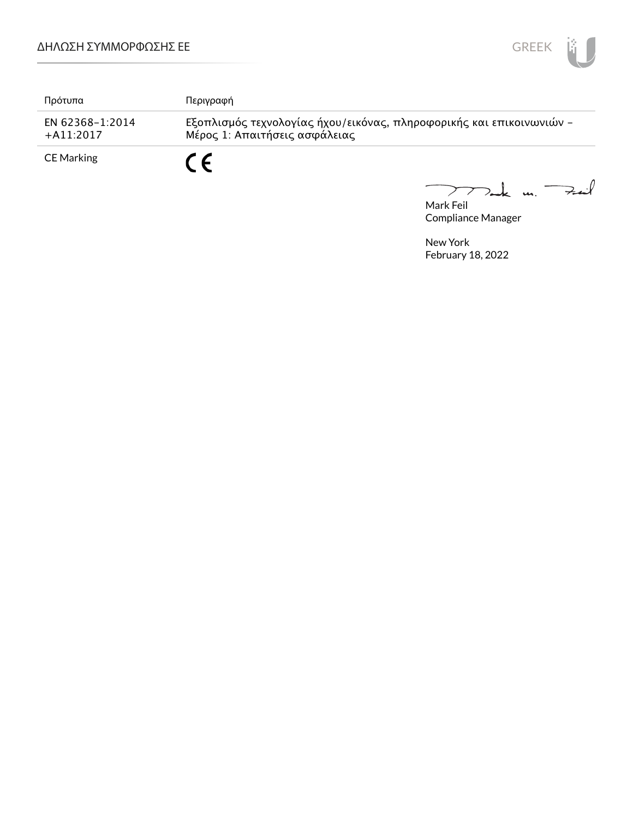

| Πρότυπα                         | Περιγραφή                                                                                             |
|---------------------------------|-------------------------------------------------------------------------------------------------------|
| EN 62368-1:2014<br>$+$ A11:2017 | Εξοπλισμός τεχνολογίας ήχου/εικόνας, πληροφορικής και επικοινωνιών -<br>Μέρος 1: Απαιτήσεις ασφάλειας |
| CE Marking                      | r c                                                                                                   |

Mark Feil<br>Mark Feil 

Compliance Manager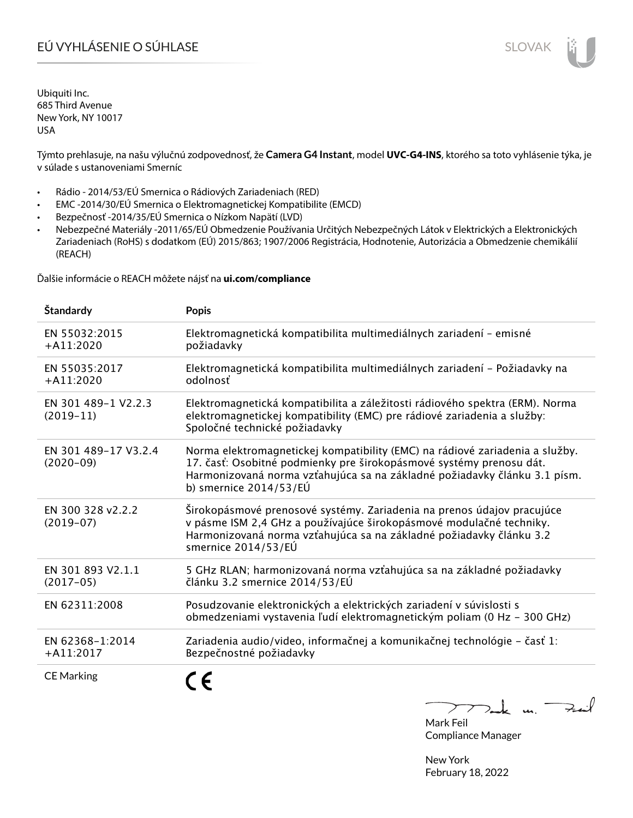# EÚ VYHLÁSENIE O SÚHLASE SLOVAK SLOVAK

Ubiquiti Inc. 685 Third Avenue New York, NY 10017 USA

Týmto prehlasuje, na našu výlučnú zodpovednosť, že **Camera G4 Instant**, model **UVC-G4-INS**, ktorého sa toto vyhlásenie týka, je v súlade s ustanoveniami Smerníc

- Rádio 2014/53/EÚ Smernica o Rádiových Zariadeniach (RED)
- EMC -2014/30/EÚ Smernica o Elektromagnetickej Kompatibilite (EMCD)
- Bezpečnosť -2014/35/EÚ Smernica o Nízkom Napätí (LVD)
- Nebezpečné Materiály -2011/65/EÚ Obmedzenie Používania Určitých Nebezpečných Látok v Elektrických a Elektronických Zariadeniach (RoHS) s dodatkom (EÚ) 2015/863; 1907/2006 Registrácia, Hodnotenie, Autorizácia a Obmedzenie chemikálií (REACH)

Ďalšie informácie o REACH môžete nájsť na **ui.com/compliance**

| <b>Standardy</b>                    | <b>Popis</b>                                                                                                                                                                                                                                                 |
|-------------------------------------|--------------------------------------------------------------------------------------------------------------------------------------------------------------------------------------------------------------------------------------------------------------|
| EN 55032:2015<br>$+A11:2020$        | Elektromagnetická kompatibilita multimediálnych zariadení - emisné<br>požiadavky                                                                                                                                                                             |
| EN 55035:2017<br>$+A11:2020$        | Elektromagnetická kompatibilita multimediálnych zariadení - Požiadavky na<br>odolnosť                                                                                                                                                                        |
| EN 301 489-1 V2.2.3<br>$(2019-11)$  | Elektromagnetická kompatibilita a záležitosti rádiového spektra (ERM). Norma<br>elektromagnetickej kompatibility (EMC) pre rádiové zariadenia a služby:<br>Spoločné technické požiadavky                                                                     |
| EN 301 489-17 V3.2.4<br>$(2020-09)$ | Norma elektromagnetickej kompatibility (EMC) na rádiové zariadenia a služby.<br>17. časť: Osobitné podmienky pre širokopásmové systémy prenosu dát.<br>Harmonizovaná norma vzťahujúca sa na základné požiadavky článku 3.1 písm.<br>b) smernice $2014/53/EU$ |
| EN 300 328 v2.2.2<br>$(2019-07)$    | Širokopásmové prenosové systémy. Zariadenia na prenos údajov pracujúce<br>v pásme ISM 2,4 GHz a používajúce širokopásmové modulačné techniky.<br>Harmonizovaná norma vzťahujúca sa na základné požiadavky článku 3.2<br>smernice 2014/53/EÚ                  |
| EN 301 893 V2.1.1<br>$(2017-05)$    | 5 GHz RLAN; harmonizovaná norma vzťahujúca sa na základné požiadavky<br>článku 3.2 smernice 2014/53/EÚ                                                                                                                                                       |
| EN 62311:2008                       | Posudzovanie elektronických a elektrických zariadení v súvislosti s<br>obmedzeniami vystavenia ľudí elektromagnetickým poliam (0 Hz - 300 GHz)                                                                                                               |
| EN 62368-1:2014<br>$+A11:2017$      | Zariadenia audio/video, informačnej a komunikačnej technológie – časť 1:<br>Bezpečnostné požiadavky                                                                                                                                                          |
| <b>CE Marking</b>                   |                                                                                                                                                                                                                                                              |

Dank un Zuil

Mark Feil Compliance Manager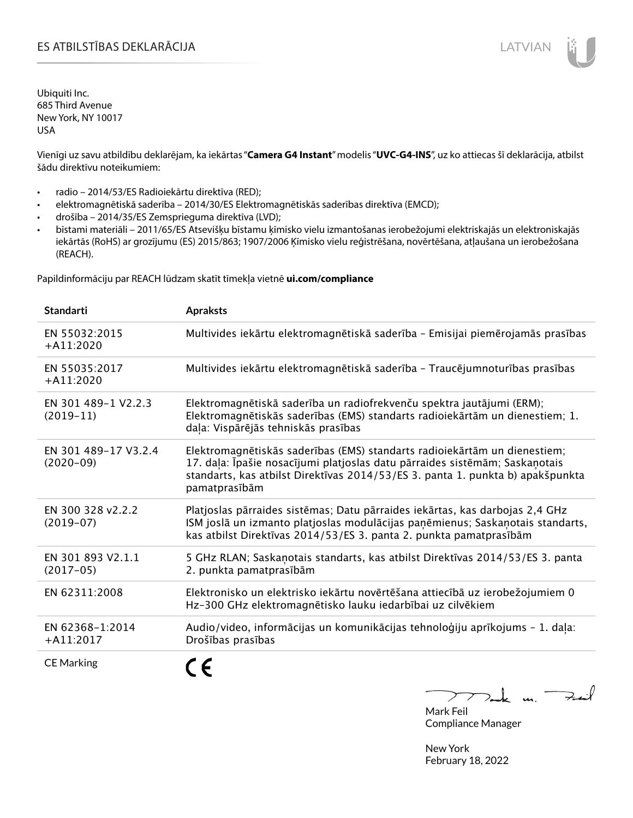# ES ATBILSTĪBAS DEKLARĀCIJA LATVIAN

Ubiquiti Inc. 685 Third Avenue New York, NY 10017 USA

Vienīgi uz savu atbildību deklarējam, ka iekārtas "**Camera G4 Instant**" modelis "**UVC-G4-INS**", uz ko attiecas šī deklarācija, atbilst šādu direktīvu noteikumiem:

- radio 2014/53/ES Radioiekārtu direktīva (RED);
- elektromagnētiskā saderība 2014/30/ES Elektromagnētiskās saderības direktīva (EMCD);
- drošība 2014/35/ES Zemsprieguma direktīva (LVD);
- bīstami materiāli 2011/65/ES Atsevišķu bīstamu ķīmisko vielu izmantošanas ierobežojumi elektriskajās un elektroniskajās iekārtās (RoHS) ar grozījumu (ES) 2015/863; 1907/2006 Ķīmisko vielu reģistrēšana, novērtēšana, atļaušana un ierobežošana (REACH).

Papildinformāciju par REACH lūdzam skatīt tīmekļa vietnē **ui.com/compliance**

| <b>Standarti</b>                    | <b>Apraksts</b>                                                                                                                                                                                                                                             |
|-------------------------------------|-------------------------------------------------------------------------------------------------------------------------------------------------------------------------------------------------------------------------------------------------------------|
| EN 55032:2015<br>$+A11:2020$        | Multivides iekārtu elektromagnētiskā saderība - Emisijai piemērojamās prasības                                                                                                                                                                              |
| EN 55035:2017<br>$+A11:2020$        | Multivides iekārtu elektromagnētiskā saderība - Traucējumnoturības prasības                                                                                                                                                                                 |
| EN 301 489-1 V2.2.3<br>$(2019-11)$  | Elektromagnētiskā saderība un radiofrekvenču spektra jautājumi (ERM);<br>Elektromagnētiskās saderības (EMS) standarts radioiekārtām un dienestiem; 1.<br>daļa: Vispārējās tehniskās prasības                                                                |
| EN 301 489-17 V3.2.4<br>$(2020-09)$ | Elektromagnētiskās saderības (EMS) standarts radioiekārtām un dienestiem;<br>17. daļa: Īpašie nosacījumi platjoslas datu pārraides sistēmām; Saskaņotais<br>standarts, kas atbilst Direktīvas 2014/53/ES 3. panta 1. punkta b) apakšpunkta<br>pamatprasībām |
| EN 300 328 v2.2.2<br>$(2019-07)$    | Platjoslas pārraides sistēmas; Datu pārraides iekārtas, kas darbojas 2,4 GHz<br>ISM joslā un izmanto platjoslas modulācijas paņēmienus; Saskaņotais standarts,<br>kas atbilst Direktīvas 2014/53/ES 3. panta 2. punkta pamatprasībām                        |
| EN 301 893 V2.1.1<br>$(2017-05)$    | 5 GHz RLAN; Saskanotais standarts, kas atbilst Direktīvas 2014/53/ES 3. panta<br>2. punkta pamatprasībām                                                                                                                                                    |
| EN 62311:2008                       | Elektronisko un elektrisko iekārtu novērtēšana attiecībā uz ierobežojumiem 0<br>Hz-300 GHz elektromagnētisko lauku iedarbībai uz cilvēkiem                                                                                                                  |
| EN 62368-1:2014<br>$+A11:2017$      | Audio/video, informācijas un komunikācijas tehnoloģiju aprīkojums - 1. daļa:<br>Drošības prasības                                                                                                                                                           |
| <b>CE Marking</b>                   |                                                                                                                                                                                                                                                             |

 $k$  un  $\rightarrow$  $\rightarrow$  $\mathcal{L}$ Mark Feil

Compliance Manager